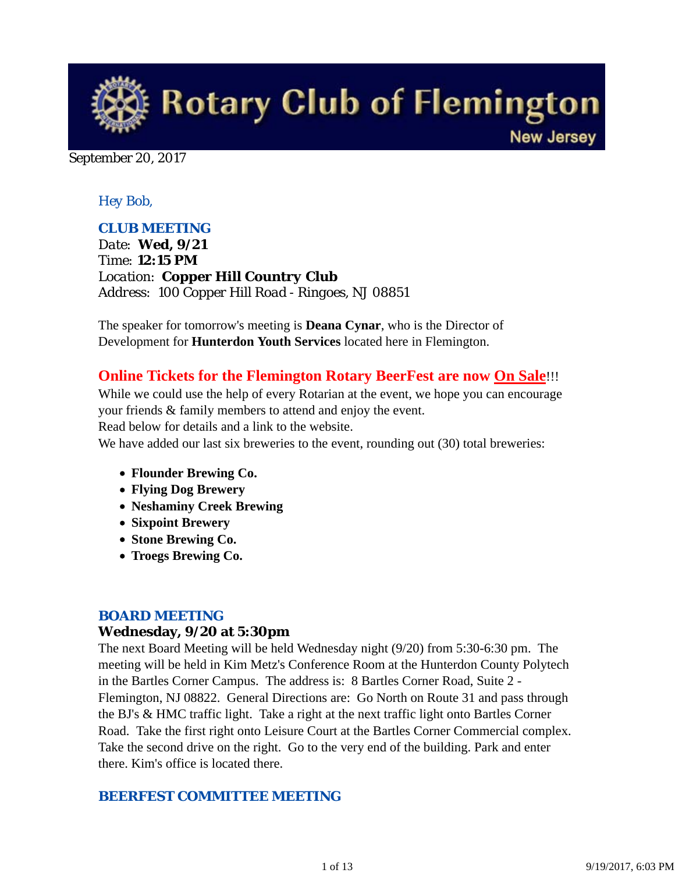

September 20, 2017

### *Hey Bob,*

### *CLUB MEETING*

*Date: Wed, 9/21 Time: 12:15 PM Location: Copper Hill Country Club Address: 100 Copper Hill Road - Ringoes, NJ 08851*

The speaker for tomorrow's meeting is **Deana Cynar**, who is the Director of Development for **Hunterdon Youth Services** located here in Flemington.

### **Online Tickets for the Flemington Rotary BeerFest are now On Sale**!!!

While we could use the help of every Rotarian at the event, we hope you can encourage your friends & family members to attend and enjoy the event. Read below for details and a link to the website.

We have added our last six breweries to the event, rounding out (30) total breweries:

- **Flounder Brewing Co.**
- **Flying Dog Brewery**
- **Neshaminy Creek Brewing**
- **Sixpoint Brewery**
- **Stone Brewing Co.**
- **Troegs Brewing Co.**

### *BOARD MEETING*

#### **Wednesday, 9/20 at 5:30pm**

The next Board Meeting will be held Wednesday night (9/20) from 5:30-6:30 pm. The meeting will be held in Kim Metz's Conference Room at the Hunterdon County Polytech in the Bartles Corner Campus. The address is: 8 Bartles Corner Road, Suite 2 - Flemington, NJ 08822. General Directions are: Go North on Route 31 and pass through the BJ's & HMC traffic light. Take a right at the next traffic light onto Bartles Corner Road. Take the first right onto Leisure Court at the Bartles Corner Commercial complex. Take the second drive on the right. Go to the very end of the building. Park and enter there. Kim's office is located there.

### *BEERFEST COMMITTEE MEETING*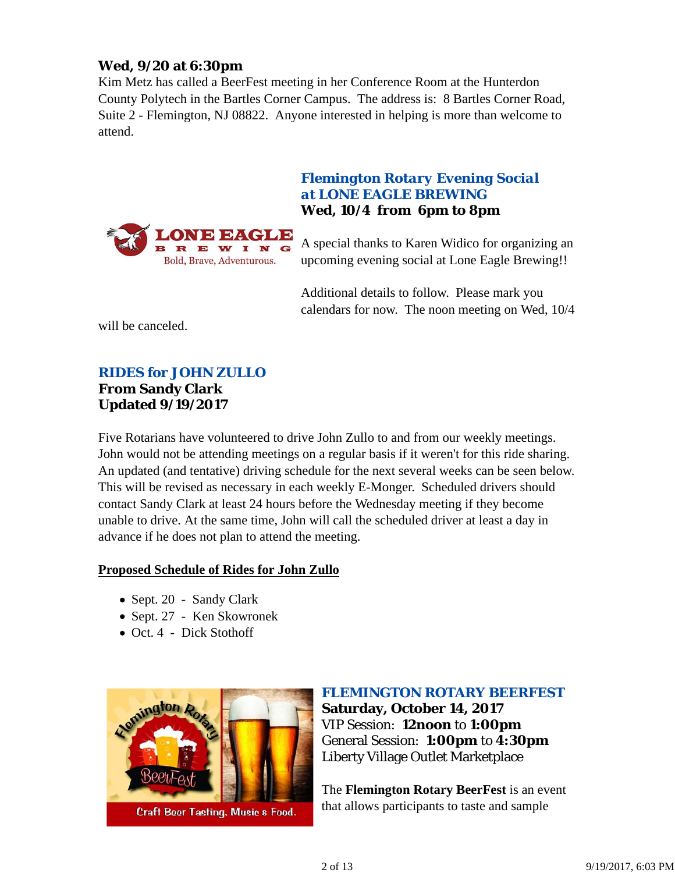### **Wed, 9/20 at 6:30pm**

Kim Metz has called a BeerFest meeting in her Conference Room at the Hunterdon County Polytech in the Bartles Corner Campus. The address is: 8 Bartles Corner Road, Suite 2 - Flemington, NJ 08822. Anyone interested in helping is more than welcome to attend.



### *Flemington Rotary Evening Social at LONE EAGLE BREWING* **Wed, 10/4 from 6pm to 8pm**

A special thanks to Karen Widico for organizing an upcoming evening social at Lone Eagle Brewing!!

Additional details to follow. Please mark you calendars for now. The noon meeting on Wed, 10/4

will be canceled.

# *RIDES for JOHN ZULLO*

#### **From Sandy Clark Updated 9/19/2017**

Five Rotarians have volunteered to drive John Zullo to and from our weekly meetings. John would not be attending meetings on a regular basis if it weren't for this ride sharing. An updated (and tentative) driving schedule for the next several weeks can be seen below. This will be revised as necessary in each weekly E-Monger. Scheduled drivers should contact Sandy Clark at least 24 hours before the Wednesday meeting if they become unable to drive. At the same time, John will call the scheduled driver at least a day in advance if he does not plan to attend the meeting.

#### **Proposed Schedule of Rides for John Zullo**

- Sept. 20 Sandy Clark
- Sept. 27 Ken Skowronek
- Oct. 4 Dick Stothoff



### *FLEMINGTON ROTARY BEERFEST*

**Saturday, October 14, 2017** VIP Session: **12noon** to **1:00pm** General Session: **1:00pm** to **4:30pm** Liberty Village Outlet Marketplace

The **Flemington Rotary BeerFest** is an event that allows participants to taste and sample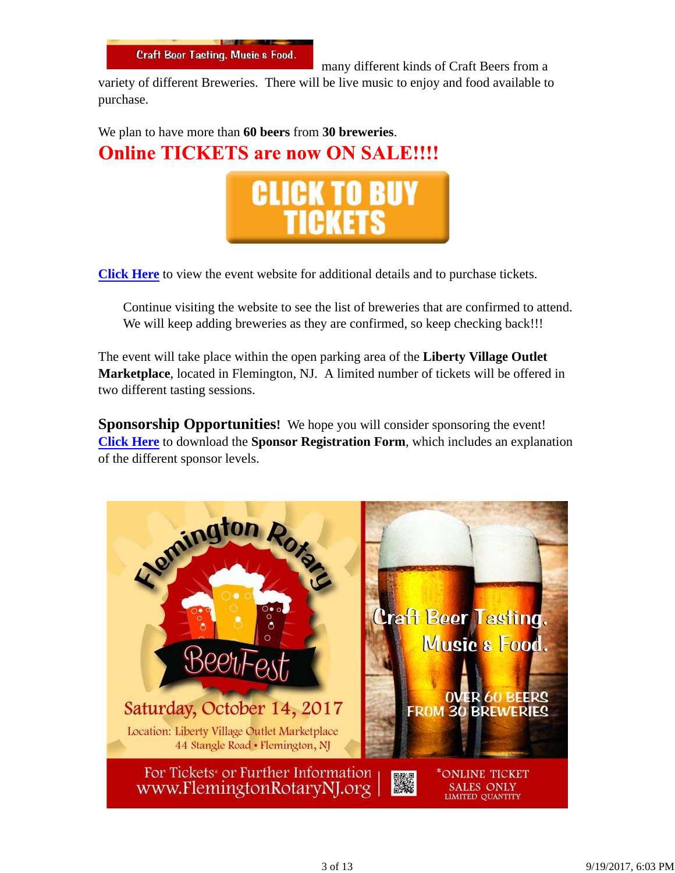

many different kinds of Craft Beers from a

variety of different Breweries. There will be live music to enjoy and food available to purchase.

We plan to have more than **60 beers** from **30 breweries**. **Online TICKETS are now ON SALE!!!!** 



**Click Here** to view the event website for additional details and to purchase tickets.

Continue visiting the website to see the list of breweries that are confirmed to attend. We will keep adding breweries as they are confirmed, so keep checking back!!!

The event will take place within the open parking area of the **Liberty Village Outlet Marketplace**, located in Flemington, NJ. A limited number of tickets will be offered in two different tasting sessions.

**Sponsorship Opportunities!** We hope you will consider sponsoring the event! **Click Here** to download the **Sponsor Registration Form**, which includes an explanation of the different sponsor levels.

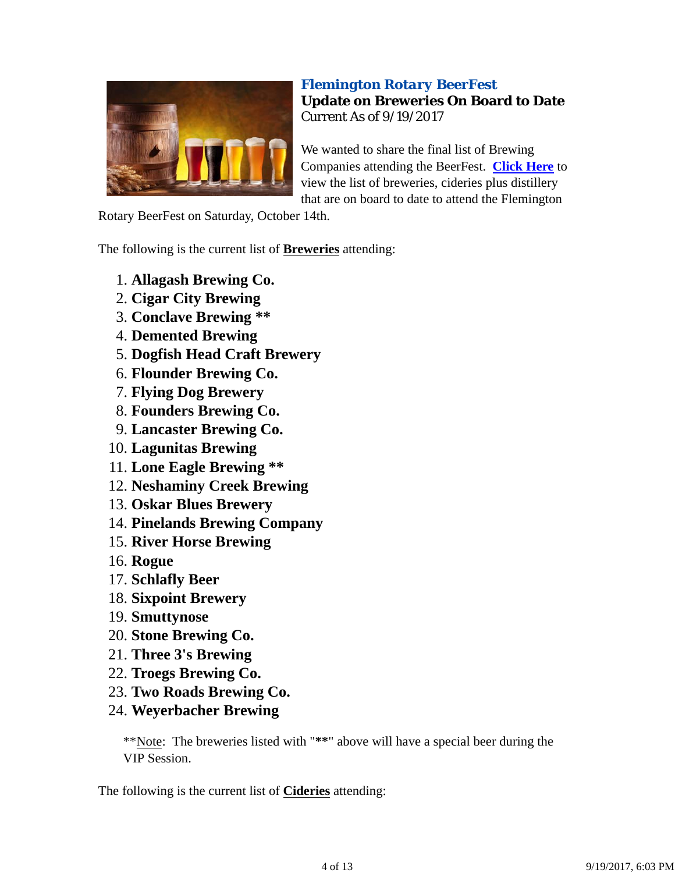

### *Flemington Rotary BeerFest* **Update on Breweries On Board to Date** Current As of 9/19/2017

We wanted to share the final list of Brewing Companies attending the BeerFest. **Click Here** to view the list of breweries, cideries plus distillery that are on board to date to attend the Flemington

Rotary BeerFest on Saturday, October 14th.

The following is the current list of **Breweries** attending:

- 1. **Allagash Brewing Co.**
- 2. **Cigar City Brewing**
- 3. **Conclave Brewing \*\***
- 4. **Demented Brewing**
- 5. **Dogfish Head Craft Brewery**
- 6. **Flounder Brewing Co.**
- 7. **Flying Dog Brewery**
- 8. **Founders Brewing Co.**
- 9. **Lancaster Brewing Co.**
- 10. **Lagunitas Brewing**
- 11. **Lone Eagle Brewing \*\***
- 12. **Neshaminy Creek Brewing**
- 13. **Oskar Blues Brewery**
- 14. **Pinelands Brewing Company**
- 15. **River Horse Brewing**
- 16. **Rogue**
- 17. **Schlafly Beer**
- 18. **Sixpoint Brewery**
- 19. **Smuttynose**
- 20. **Stone Brewing Co.**
- 21. **Three 3's Brewing**
- 22. **Troegs Brewing Co.**
- 23. **Two Roads Brewing Co.**
- 24. **Weyerbacher Brewing**

\*\*Note: The breweries listed with "**\*\***" above will have a special beer during the VIP Session.

The following is the current list of **Cideries** attending: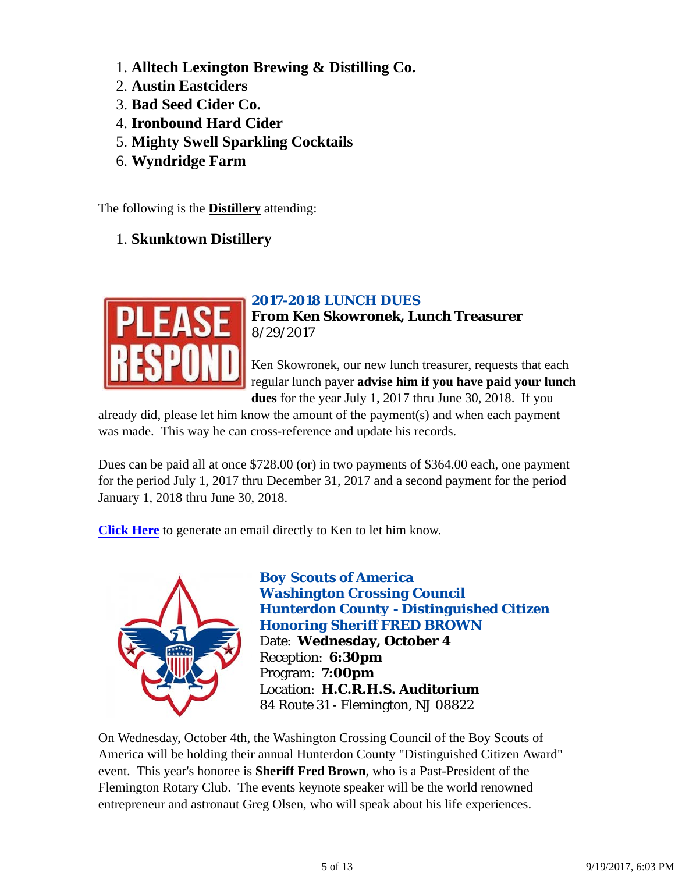- 1. **Alltech Lexington Brewing & Distilling Co.**
- 2. **Austin Eastciders**
- 3. **Bad Seed Cider Co.**
- 4. **Ironbound Hard Cider**
- 5. **Mighty Swell Sparkling Cocktails**
- 6. **Wyndridge Farm**

The following is the **Distillery** attending:

1. **Skunktown Distillery**

### *2017-2018 LUNCH DUES*



Ken Skowronek, our new lunch treasurer, requests that each regular lunch payer **advise him if you have paid your lunch dues** for the year July 1, 2017 thru June 30, 2018. If you

already did, please let him know the amount of the payment(s) and when each payment was made. This way he can cross-reference and update his records.

Dues can be paid all at once \$728.00 (or) in two payments of \$364.00 each, one payment for the period July 1, 2017 thru December 31, 2017 and a second payment for the period January 1, 2018 thru June 30, 2018.

**Click Here** to generate an email directly to Ken to let him know.



*Boy Scouts of America Washington Crossing Council Hunterdon County - Distinguished Citizen Honoring Sheriff FRED BROWN* Date: **Wednesday, October 4** Reception: **6:30pm** Program: **7:00pm** Location: **H.C.R.H.S. Auditorium** 84 Route 31 - Flemington, NJ 08822

On Wednesday, October 4th, the Washington Crossing Council of the Boy Scouts of America will be holding their annual Hunterdon County "Distinguished Citizen Award" event. This year's honoree is **Sheriff Fred Brown**, who is a Past-President of the Flemington Rotary Club. The events keynote speaker will be the world renowned entrepreneur and astronaut Greg Olsen, who will speak about his life experiences.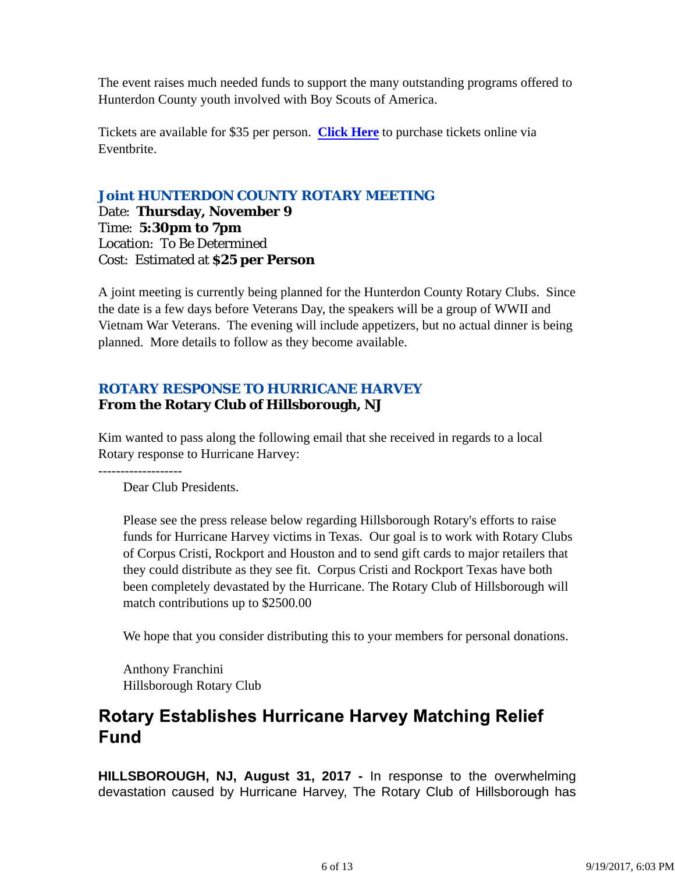The event raises much needed funds to support the many outstanding programs offered to Hunterdon County youth involved with Boy Scouts of America.

Tickets are available for \$35 per person. **Click Here** to purchase tickets online via Eventbrite.

### *Joint HUNTERDON COUNTY ROTARY MEETING*

Date: **Thursday, November 9** Time: **5:30pm to 7pm** Location: To Be Determined Cost: Estimated at **\$25 per Person**

A joint meeting is currently being planned for the Hunterdon County Rotary Clubs. Since the date is a few days before Veterans Day, the speakers will be a group of WWII and Vietnam War Veterans. The evening will include appetizers, but no actual dinner is being planned. More details to follow as they become available.

### *ROTARY RESPONSE TO HURRICANE HARVEY* **From the Rotary Club of Hillsborough, NJ**

Kim wanted to pass along the following email that she received in regards to a local Rotary response to Hurricane Harvey:

Dear Club Presidents.

-------------------

Please see the press release below regarding Hillsborough Rotary's efforts to raise funds for Hurricane Harvey victims in Texas. Our goal is to work with Rotary Clubs of Corpus Cristi, Rockport and Houston and to send gift cards to major retailers that they could distribute as they see fit. Corpus Cristi and Rockport Texas have both been completely devastated by the Hurricane. The Rotary Club of Hillsborough will match contributions up to \$2500.00

We hope that you consider distributing this to your members for personal donations.

Anthony Franchini Hillsborough Rotary Club

## **Rotary Establishes Hurricane Harvey Matching Relief Fund**

**HILLSBOROUGH, NJ, August 31, 2017 -** In response to the overwhelming devastation caused by Hurricane Harvey, The Rotary Club of Hillsborough has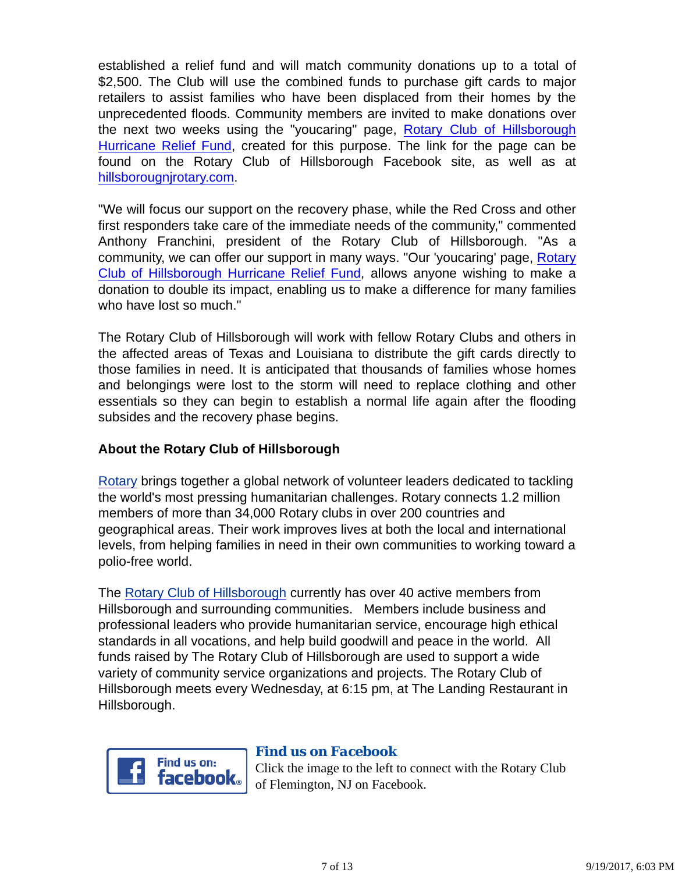established a relief fund and will match community donations up to a total of \$2,500. The Club will use the combined funds to purchase gift cards to major retailers to assist families who have been displaced from their homes by the unprecedented floods. Community members are invited to make donations over the next two weeks using the "youcaring" page, Rotary Club of Hillsborough Hurricane Relief Fund, created for this purpose. The link for the page can be found on the Rotary Club of Hillsborough Facebook site, as well as at hillsborougnjrotary.com.

"We will focus our support on the recovery phase, while the Red Cross and other first responders take care of the immediate needs of the community," commented Anthony Franchini, president of the Rotary Club of Hillsborough. "As a community, we can offer our support in many ways. "Our 'youcaring' page, Rotary Club of Hillsborough Hurricane Relief Fund, allows anyone wishing to make a donation to double its impact, enabling us to make a difference for many families who have lost so much."

The Rotary Club of Hillsborough will work with fellow Rotary Clubs and others in the affected areas of Texas and Louisiana to distribute the gift cards directly to those families in need. It is anticipated that thousands of families whose homes and belongings were lost to the storm will need to replace clothing and other essentials so they can begin to establish a normal life again after the flooding subsides and the recovery phase begins.

### **About the Rotary Club of Hillsborough**

Rotary brings together a global network of volunteer leaders dedicated to tackling the world's most pressing humanitarian challenges. Rotary connects 1.2 million members of more than 34,000 Rotary clubs in over 200 countries and geographical areas. Their work improves lives at both the local and international levels, from helping families in need in their own communities to working toward a polio-free world.

The Rotary Club of Hillsborough currently has over 40 active members from Hillsborough and surrounding communities. Members include business and professional leaders who provide humanitarian service, encourage high ethical standards in all vocations, and help build goodwill and peace in the world. All funds raised by The Rotary Club of Hillsborough are used to support a wide variety of community service organizations and projects. The Rotary Club of Hillsborough meets every Wednesday, at 6:15 pm, at The Landing Restaurant in Hillsborough.



### *Find us on Facebook*

Click the image to the left to connect with the Rotary Club of Flemington, NJ on Facebook.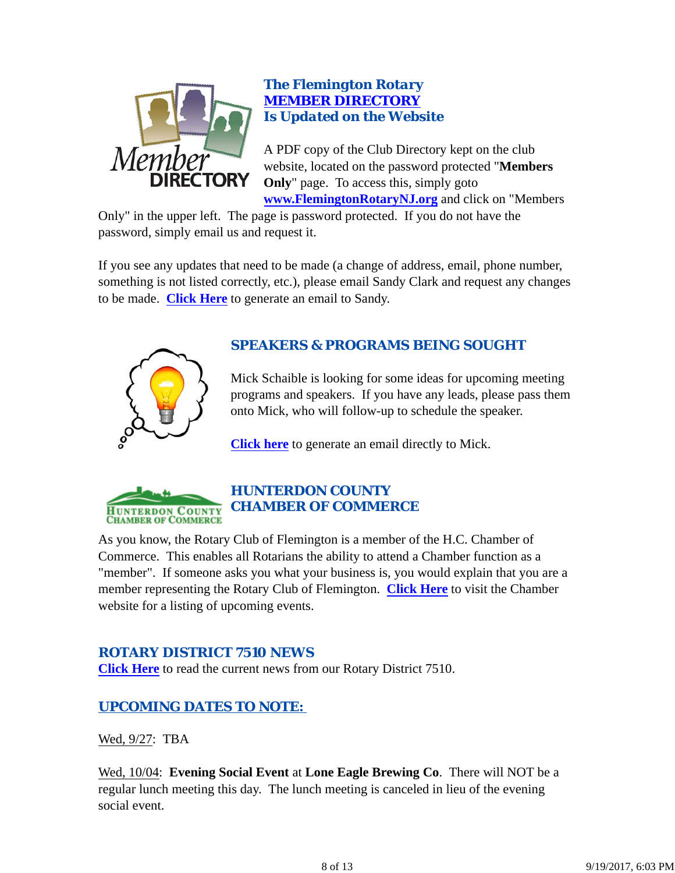

### *The Flemington Rotary MEMBER DIRECTORY Is Updated on the Website*

A PDF copy of the Club Directory kept on the club website, located on the password protected "**Members Only**" page. To access this, simply goto **www.FlemingtonRotaryNJ.org** and click on "Members

Only" in the upper left. The page is password protected. If you do not have the password, simply email us and request it.

If you see any updates that need to be made (a change of address, email, phone number, something is not listed correctly, etc.), please email Sandy Clark and request any changes to be made. **Click Here** to generate an email to Sandy.



### *SPEAKERS & PROGRAMS BEING SOUGHT*

Mick Schaible is looking for some ideas for upcoming meeting programs and speakers. If you have any leads, please pass them onto Mick, who will follow-up to schedule the speaker.

**Click here** to generate an email directly to Mick.



### *HUNTERDON COUNTY CHAMBER OF COMMERCE*

As you know, the Rotary Club of Flemington is a member of the H.C. Chamber of Commerce. This enables all Rotarians the ability to attend a Chamber function as a "member". If someone asks you what your business is, you would explain that you are a member representing the Rotary Club of Flemington. **Click Here** to visit the Chamber website for a listing of upcoming events.

### *ROTARY DISTRICT 7510 NEWS*

**Click Here** to read the current news from our Rotary District 7510.

### *UPCOMING DATES TO NOTE:*

Wed, 9/27: TBA

Wed, 10/04: **Evening Social Event** at **Lone Eagle Brewing Co**. There will NOT be a regular lunch meeting this day. The lunch meeting is canceled in lieu of the evening social event.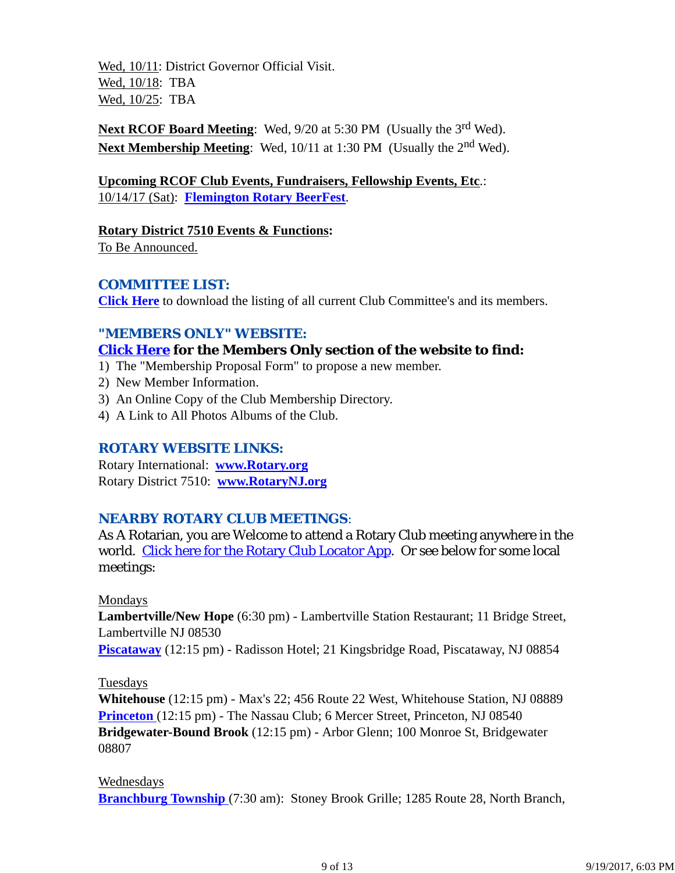Wed, 10/11: District Governor Official Visit. Wed, 10/18: TBA Wed, 10/25: TBA

**Next RCOF Board Meeting:** Wed, 9/20 at 5:30 PM (Usually the 3<sup>rd</sup> Wed). **Next Membership Meeting:** Wed, 10/11 at 1:30 PM (Usually the 2<sup>nd</sup> Wed).

**Upcoming RCOF Club Events, Fundraisers, Fellowship Events, Etc**.: 10/14/17 (Sat): **Flemington Rotary BeerFest**.

**Rotary District 7510 Events & Functions:**

To Be Announced.

### *COMMITTEE LIST:*

**Click Here** to download the listing of all current Club Committee's and its members.

### *"MEMBERS ONLY" WEBSITE:*

### **Click Here for the Members Only section of the website to find:**

- 1) The "Membership Proposal Form" to propose a new member.
- 2) New Member Information.
- 3) An Online Copy of the Club Membership Directory.
- 4) A Link to All Photos Albums of the Club.

### *ROTARY WEBSITE LINKS:*

Rotary International: **www.Rotary.org** Rotary District 7510: **www.RotaryNJ.org**

### *NEARBY ROTARY CLUB MEETINGS:*

As A Rotarian, you are Welcome to attend a Rotary Club meeting anywhere in the world. Click here for the Rotary Club Locator App. Or see below for some local meetings:

### Mondays

**Lambertville/New Hope** (6:30 pm) - Lambertville Station Restaurant; 11 Bridge Street, Lambertville NJ 08530

**Piscataway** (12:15 pm) - Radisson Hotel; 21 Kingsbridge Road, Piscataway, NJ 08854

### Tuesdays

**Whitehouse** (12:15 pm) - Max's 22; 456 Route 22 West, Whitehouse Station, NJ 08889 **Princeton** (12:15 pm) - The Nassau Club; 6 Mercer Street, Princeton, NJ 08540 **Bridgewater-Bound Brook** (12:15 pm) - Arbor Glenn; 100 Monroe St, Bridgewater 08807

Wednesdays

**Branchburg Township** (7:30 am): Stoney Brook Grille; 1285 Route 28, North Branch,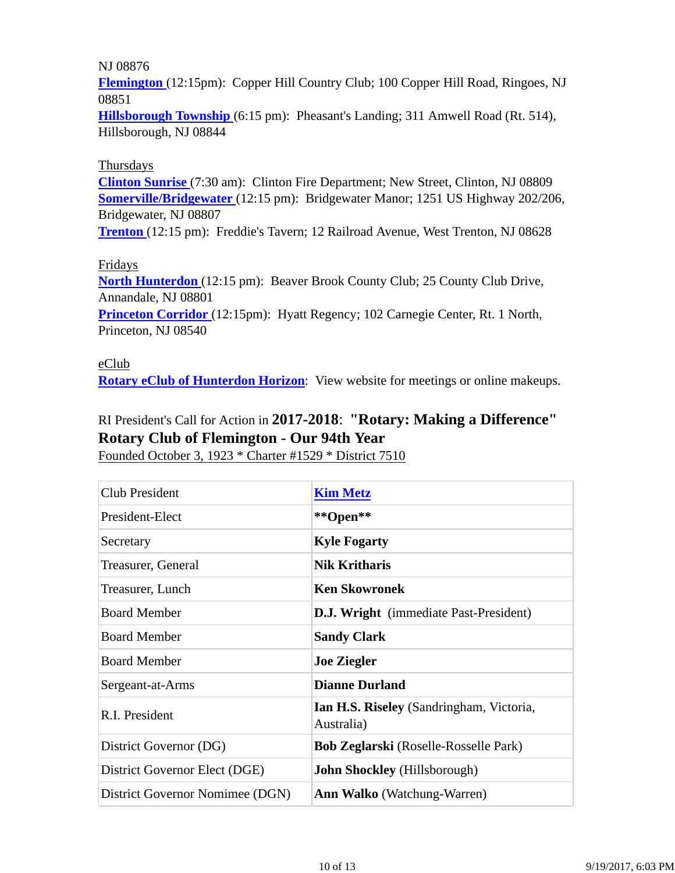#### NJ 08876

**Flemington** (12:15pm): Copper Hill Country Club; 100 Copper Hill Road, Ringoes, NJ 08851

**Hillsborough Township** (6:15 pm): Pheasant's Landing; 311 Amwell Road (Rt. 514), Hillsborough, NJ 08844

#### Thursdays

**Clinton Sunrise** (7:30 am): Clinton Fire Department; New Street, Clinton, NJ 08809 **Somerville/Bridgewater** (12:15 pm): Bridgewater Manor; 1251 US Highway 202/206, Bridgewater, NJ 08807

**Trenton** (12:15 pm): Freddie's Tavern; 12 Railroad Avenue, West Trenton, NJ 08628

#### Fridays

**North Hunterdon** (12:15 pm): Beaver Brook County Club; 25 County Club Drive, Annandale, NJ 08801

**Princeton Corridor** (12:15pm): Hyatt Regency; 102 Carnegie Center, Rt. 1 North, Princeton, NJ 08540

#### eClub

**Rotary eClub of Hunterdon Horizon**: View website for meetings or online makeups.

## RI President's Call for Action in **2017-2018**: **"Rotary: Making a Difference" Rotary Club of Flemington - Our 94th Year**

Founded October 3, 1923 \* Charter #1529 \* District 7510

| <b>Club President</b>           | <b>Kim Metz</b>                                        |
|---------------------------------|--------------------------------------------------------|
| President-Elect                 | **Open**                                               |
| Secretary                       | <b>Kyle Fogarty</b>                                    |
| Treasurer, General              | <b>Nik Kritharis</b>                                   |
| Treasurer, Lunch                | <b>Ken Skowronek</b>                                   |
| <b>Board Member</b>             | <b>D.J. Wright</b> (immediate Past-President)          |
| <b>Board Member</b>             | <b>Sandy Clark</b>                                     |
| <b>Board Member</b>             | <b>Joe Ziegler</b>                                     |
| Sergeant-at-Arms                | <b>Dianne Durland</b>                                  |
| R.I. President                  | Ian H.S. Riseley (Sandringham, Victoria,<br>Australia) |
| District Governor (DG)          | <b>Bob Zeglarski</b> (Roselle-Rosselle Park)           |
| District Governor Elect (DGE)   | <b>John Shockley</b> (Hillsborough)                    |
| District Governor Nomimee (DGN) | <b>Ann Walko</b> (Watchung-Warren)                     |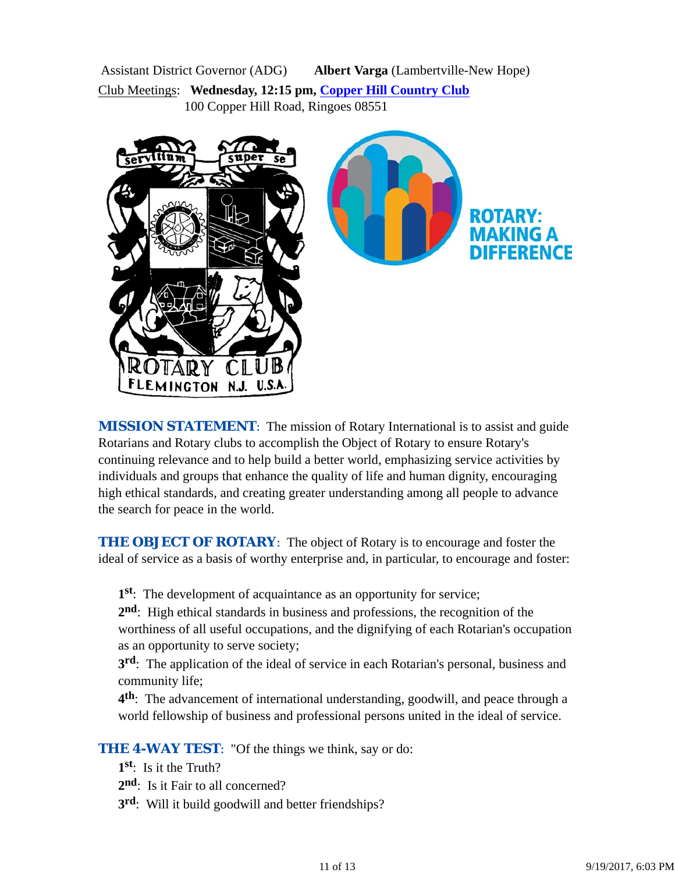Assistant District Governor (ADG) **Albert Varga** (Lambertville-New Hope) Club Meetings: **Wednesday, 12:15 pm, Copper Hill Country Club** 100 Copper Hill Road, Ringoes 08551



*MISSION STATEMENT*: The mission of Rotary International is to assist and guide Rotarians and Rotary clubs to accomplish the Object of Rotary to ensure Rotary's continuing relevance and to help build a better world, emphasizing service activities by individuals and groups that enhance the quality of life and human dignity, encouraging high ethical standards, and creating greater understanding among all people to advance the search for peace in the world.

**THE OBJECT OF ROTARY:** The object of Rotary is to encourage and foster the ideal of service as a basis of worthy enterprise and, in particular, to encourage and foster:

**1st**: The development of acquaintance as an opportunity for service;

**2nd**: High ethical standards in business and professions, the recognition of the worthiness of all useful occupations, and the dignifying of each Rotarian's occupation as an opportunity to serve society;

**3rd**: The application of the ideal of service in each Rotarian's personal, business and community life;

**4th**: The advancement of international understanding, goodwill, and peace through a world fellowship of business and professional persons united in the ideal of service.

**THE 4-WAY TEST:** "Of the things we think, say or do:

- **1st**: Is it the Truth?
- 2<sup>nd</sup>: Is it Fair to all concerned?
- **3rd**: Will it build goodwill and better friendships?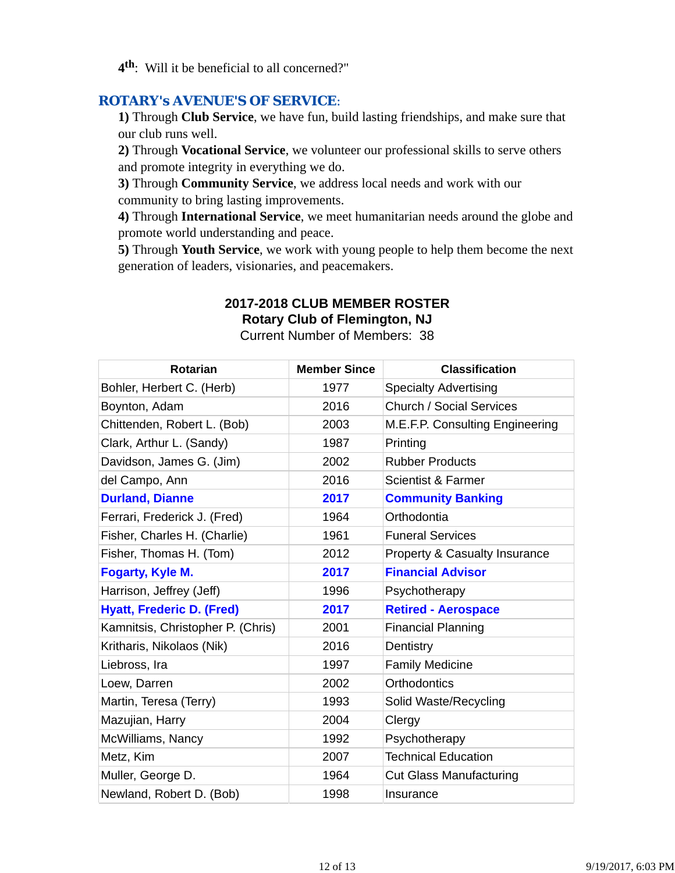**4th**: Will it be beneficial to all concerned?"

### *ROTARY's AVENUE'S OF SERVICE*:

**1)** Through **Club Service**, we have fun, build lasting friendships, and make sure that our club runs well.

**2)** Through **Vocational Service**, we volunteer our professional skills to serve others and promote integrity in everything we do.

**3)** Through **Community Service**, we address local needs and work with our community to bring lasting improvements.

**4)** Through **International Service**, we meet humanitarian needs around the globe and promote world understanding and peace.

**5)** Through **Youth Service**, we work with young people to help them become the next generation of leaders, visionaries, and peacemakers.

# **2017-2018 CLUB MEMBER ROSTER**

**Rotary Club of Flemington, NJ**

Current Number of Members: 38

| <b>Rotarian</b>                   | <b>Member Since</b> | <b>Classification</b>           |
|-----------------------------------|---------------------|---------------------------------|
| Bohler, Herbert C. (Herb)         | 1977                | <b>Specialty Advertising</b>    |
| Boynton, Adam                     | 2016                | <b>Church / Social Services</b> |
| Chittenden, Robert L. (Bob)       | 2003                | M.E.F.P. Consulting Engineering |
| Clark, Arthur L. (Sandy)          | 1987                | Printing                        |
| Davidson, James G. (Jim)          | 2002                | <b>Rubber Products</b>          |
| del Campo, Ann                    | 2016                | <b>Scientist &amp; Farmer</b>   |
| <b>Durland, Dianne</b>            | 2017                | <b>Community Banking</b>        |
| Ferrari, Frederick J. (Fred)      | 1964                | Orthodontia                     |
| Fisher, Charles H. (Charlie)      | 1961                | <b>Funeral Services</b>         |
| Fisher, Thomas H. (Tom)           | 2012                | Property & Casualty Insurance   |
| <b>Fogarty, Kyle M.</b>           | 2017                | <b>Financial Advisor</b>        |
| Harrison, Jeffrey (Jeff)          | 1996                | Psychotherapy                   |
| <b>Hyatt, Frederic D. (Fred)</b>  | 2017                | <b>Retired - Aerospace</b>      |
| Kamnitsis, Christopher P. (Chris) | 2001                | <b>Financial Planning</b>       |
| Kritharis, Nikolaos (Nik)         | 2016                | Dentistry                       |
| Liebross, Ira                     | 1997                | <b>Family Medicine</b>          |
| Loew, Darren                      | 2002                | Orthodontics                    |
| Martin, Teresa (Terry)            | 1993                | Solid Waste/Recycling           |
| Mazujian, Harry                   | 2004                | Clergy                          |
| McWilliams, Nancy                 | 1992                | Psychotherapy                   |
| Metz, Kim                         | 2007                | <b>Technical Education</b>      |
| Muller, George D.                 | 1964                | <b>Cut Glass Manufacturing</b>  |
| Newland, Robert D. (Bob)          | 1998                | Insurance                       |